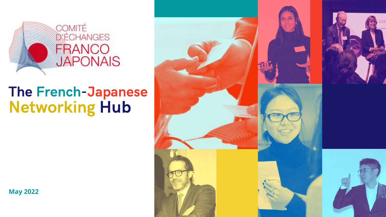

# The French-Japanese Networking Hub

**May 2022**









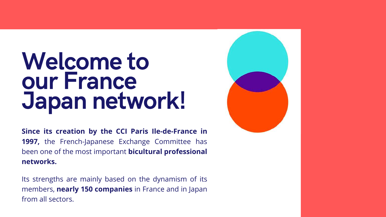# Welcome to our France Japan network!

**Since its creation by the CCI Paris Ile-de-France in** 1997, the French-Japanese Exchange Committee has been one of the most important **bicultural professional networks.**

Its strengths are mainly based on the dynamism of its members, **nearly 150 companies** in France and in Japan from all sectors.

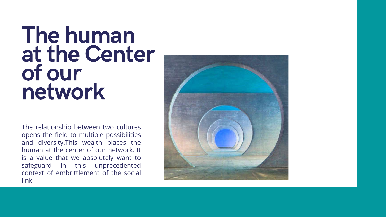# R|R The human at the Center of our network

The relationship between two cultures opens the field to multiple possibilities and diversity.This wealth places the human at the center of our network. It is a value that we absolutely want to safeguard in this unprecedented context of embrittlement of the social link

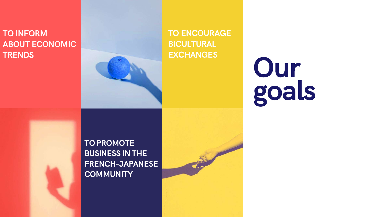

#### TO INFORM ABOUT ECONOMIC **TRENDS**



TO PROMOTE BUSINESS IN THE FRENCH-JAPANESE **COMMUNITY** 



TO ENCOURAGE BICULTURAL **EXCHANGES**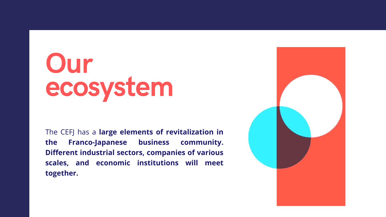The CEFJ has a **large elements of revitalization in the Franco-Japanese business community. Different industrial sectors, companies of various scales, and economic institutions will meet together.**



# Our ecosystem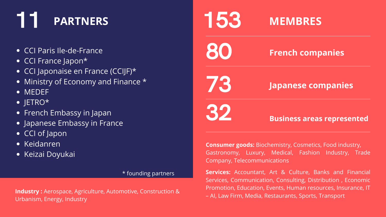

#### **French companies**

73

# 32 **Business areas represented**

**Consumer goods:** Biochemistry, Cosmetics, Food industry, Gastronomy, Luxury, Medical, Fashion Industry, Trade Company, Telecommunications

#### **Japanese companies**

# 11 **PARTNERS**

- CCI Paris Ile-de-France
- CCI France Japon\*
- CCI Japonaise en France (CCIJF)\*
- Ministry of Economy and Finance  $*$
- MEDEF
- $\bullet$  JETRO\*
- French Embassy in Japan
- Japanese Embassy in France
- CCI of Japon
- Keidanren
- **Keizai Doyukai**

#### \* founding partners

**Industry :** Aerospace, Agriculture, Automotive, Construction & Urbanism, Energy, Industry

**Services:** Accountant, Art & Culture, Banks and Financial Services, Communication, Consulting, Distribution , Economic Promotion, Education, Events, Human resources, Insurance, IT – AI, Law Firm, Media, Restaurants, Sports, Transport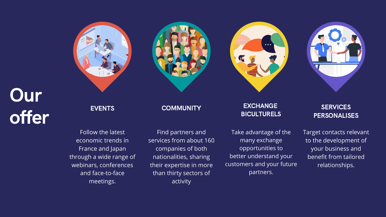Find partners and services from about 160 companies of both nationalities, sharing their expertise in more than thirty sectors of activity

#### EXCHANGE BICULTURELS

**SERVICES PERSONALISES** 

Take advantage of the many exchange opportunities to better understand your customers and your future partners.





Target contacts relevant to the development of your business and benefit from tailored relationships.







**COMMUNITY** 

Follow the latest economic trends in France and Japan through a wide range of webinars, conferences and face-to-face meetings.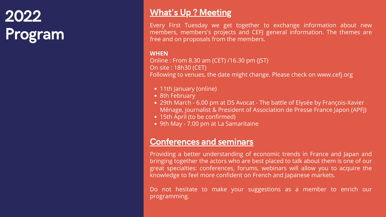### What's Up ? Meeting

#### Conferences and seminars

Providing a better understanding of economic trends in France and Japan and bringing together the actors who are best placed to talk about them is one of our great specialties: conferences, forums, webinars will allow you to acquire the knowledge to feel more confident on French and Japanese markets.

Do not hesitate to make your suggestions as a member to enrich our programming.

29th March - 6.00 pm at DS Avocat - The battle of Elysée by François-Xavier Ménage, journalist & President of Association de Presse France Japon (APFJ)

Every First Tuesday we get together to exchange information about new members, members's projects and CEFJ general information. The themes are free and on proposals from the members.

#### **WHEN**

Online : From 8.30 am (CET) /16.30 pm (JST) On site : 18h30 (CET) Following to venues, the date might change. Please check on www.cefj.org

- 11th January (online)
- 8th February
- 
- 15th April (to be confirmed)
- 9th May 7.00 pm at La Samaritaine

# 2022 Program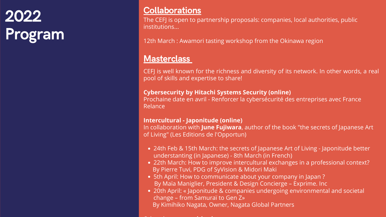24th Feb & 15th March: the secrets of Japanese Art of Living - Japonitude better

22th March: How to improve intercultural exchanges in a professional context?

20th April: « Japonitude & companies undergoing environmental and societal

CEFJ is well known for the richness and diversity of its network. In other words, a real pool of skills and expertise to share!

- understanting (in Japanese) 8th March (in French)
- By [Pierre](https://31dm1.r.bh.d.sendibt3.com/mk/cl/f/hoBwXJRoInnDUZeOqci2veIv0flmwtDvMHAcO6ynODCU2-1K_NrX8et17SB9-H-bhuNBA8x9RQT9p2xQdvJGtf_oeBsne2JXJglAH6F943cH_KNNjKcOkBhaoGAsNUOhFRZHC92K3YiHvn1sTmwiIUx1ePL7DlgPiVUOLtAIYE9pCzCFyRWiJYQbzAHzOc4J4Hg92jym__R8zkJZDFmxOOTwlkiDeNVZNTIWhx9UygtdNgsIwiTEb6PS9PsECXJwYs1A_ScOL1K0ecZ5t6AxmruPPPpD-iNi_RtQSHoKqigSFz8U_ohccPDC_hki55VBvw) Tuvi, PDG of SyVision & [Midori](https://31dm1.r.bh.d.sendibt3.com/mk/cl/f/HAdaZ8mQazFBimyrkSXHL_Zg4JyDAiMjg4GQi2Usqk_XdG1Na3WEymLMx6yLAgzgMlBr2Or0Yckw_NZqcaTMeTXWfc6jM-G5DocOdn5qoECdrMnkhKlSUciUnsmwsL7FrUK-XxaREcFUzUTme0Q2ZJH4wtZROrJ6IlJVs7Z11UZC97RWF-TIU6t8tkUxMrBH2i7vYD-g6lG4M69gKYq9QmEDqEy5MsCerqSFP4dSBpoMvCRqXtPUzc2KIwcUfpzSxs_hkAObpBzywrcuDdjMgMRwWzuts2QLNtYdBUPtEt9CNLT0xGr7U5x7H3XDBkc) Maki
- 5th April: How to communicate about your company in Japan ? By Maïa Maniglier, President & Design Concierge – Exprime. Inc
- change from Samuraï to Gen Z» By [Kimihiko](https://31dm1.r.bh.d.sendibt3.com/mk/cl/f/zYky3FIR43iQdIx0FAllYuEwNwAdWgfvaIRxqsBGUagxoXdVHh6iJoZ4AuKYJIsLsqaomTPrSNiUclko4MATndxoT6LiznRpa7hNpI8O6oepb57lAqDkFSgNf0t6inO9q1HDTvYicVGctLHeycwJhzakzmFcuFGF8l6maWAdcIShBORPNXUef6GRgz-usH2nmVhJugyzMlRaOtxqQINQaWKi9qam9iH2Vrup7aMxhxfXGAa-HcG96ynCJeanNQWM6vEp5NMEXHpDJgb_MyVbbJemGCm0WwF5g1xfmgZpxDXa8bk6pWD9jbYO84aK0lfMSQ) Nagata, Owner, Nagata Global Partners

**Cybersecurity by Hitachi Systems Security (online)** Prochaine date en avril - Renforcer la cybersécurité des entreprises avec France Relance

# **2022** Collaborations<br>The CEFI is open to ba Program

**Intercultural - Japonitude (online)** In collaboration with **June Fujiwara**, author of the book "the secrets of Japanese Art of Living" (Les Editions de l'Opportun)

O h h **i i i**

The CEFJ is open to partnership proposals: companies, local authorities, public institutions...

12th March : Awamori tasting workshop from the Okinawa region

#### **Masterclass**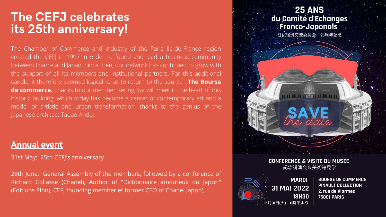### The CEFJ celebrates its 25th anniversary!

The Chamber of Commerce and Industry of the Paris Ile-de-France region created the CEFJ in 1997 in order to found and lead a business community between France and Japan. Since then, our network has continued to grow with the support of all its members and institutional partners. For this additional candle, it therefore seemed logical to us to return to the source : **The Bourse de commerce.** Thanks to our member Kering, we will meet in the heart of this historic building, which today has become a center of contemporary art and a model of artistic and urban transformation, thanks to the genius of the Japanese architect Tadao Ando.

31st May: 25th CEFJ's anniversary

28th June: General Assembly of the members, followed by a conference of Richard Collasse (Chanel), Author of "Dictionnaire amoureux du Japon" (Editions Plon), CEFJ founding member et former CEO of Chanel Japon).

#### **25 ANS** du Comité d'Echanges **Franco-Japonais**

.<br>日仏経済交流委員会 25周年記念



#### **CONFERENCE & VISITE DU MUSEE**

記念講演会&美術館見学

**MARDI** 31 MAI 2022 **18H30** :5月31日(火) 6時半より

**BOURSE DE COMMERCE** PINAULT COLLECTION 2, rue de Viarmes **75001 PARIS** 

#### Annual event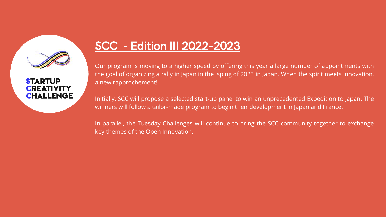

#### **STARTUP CREATIVITY CHALLENGE**

Our program is moving to a higher speed by offering this year a large number of appointments with the goal of organizing a rally in Japan in the sping of 2023 in Japan. When the spirit meets innovation, a new rapprochement!

Initially, SCC will propose a selected start-up panel to win an unprecedented Expedition to Japan. The winners will follow a tailor-made program to begin their development in Japan and France.

In parallel, the Tuesday Challenges will continue to bring the SCC community together to exchange key themes of the Open Innovation.

### SCC - Edition III 2022-2023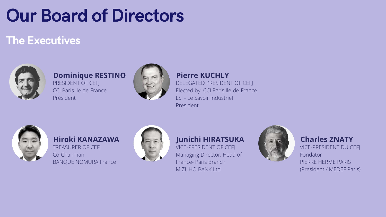DELEGATED PRESIDENT OF CEFJ Elected by CCI Paris Ile-de-France LSI - Le Savoir Industriel President



#### **Pierre KUCHLY**

# Our Board of Directors

### The Executives



PRESIDENT OF CEFJ CCI Paris Ile-de-France Président



#### **Dominique RESTINO**

TREASURER OF CEFJ Co-Chairman BANQUE NOMURA France



#### **Hiroki KANAZAWA**

VICE-PRESIDENT OF CEFJ Managing Director, Head of France- Paris Branch MIZUHO BANK Ltd





#### **Junichi HIRATSUKA**

VICE-PRESIDENT DU CEFJ Fondator PIERRE HERME PARIS (President / MEDEF Paris) **Charles ZNATY**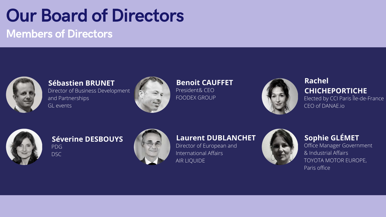#### PDG DSC **Séverine DESBOUYS**



# Our Board of Directors Members of Directors



Director of Business Development and Partnerships GL events



#### **Sébastien BRUNET**

President& CEO FOODEX GROUP



#### **Benoit CAUFFET**

Office Manager Government & Industrial Affairs TOYOTA MOTOR EUROPE, Paris office

#### **Sophie GLÉMET**

#### Elected by CCI Paris Île-de-France **Rachel CHICHEPORTICHE**

CEO of [DANAE.io](http://danae.io/)



Director of European and International Affairs AIR LIQUIDE



#### **Laurent DUBLANCHET**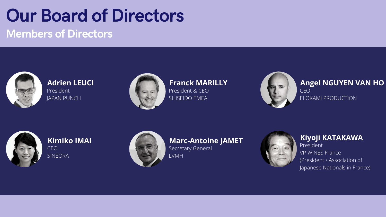# Our Board of Directors Members of Directors



President & CEO SHISEIDO EMEA



### **Franck MARILLY**

#### President JAPAN PUNCH **Adrien LEUCI**



#### CEO ELOKAMI PRODUCTION **Angel NGUYEN VAN HO**



Secretary General LVMH



**Marc-Antoine JAMET**

CEO SINEORA **Kimiko IMAI**



President VP WINES France (President / Association of Japanese Nationals in France) **Kiyoji KATAKAWA**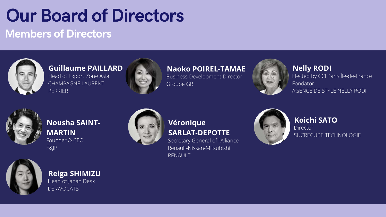# Our Board of Directors Members of Directors



Secretary General of l'Alliance Renault-Nissan-Mitsubishi RENAULT



#### **Véronique SARLAT-DEPOTTE**

Head of Japan Desk **Reiga SHIMIZU**

#### Founder & CEO F&JP **Nousha SAINT-MARTIN**



Director SUCRECUBE TECHNOLOGIE

#### **Koichi SATO**

DS AVOCATS



Business Development Director Groupe GR



#### **Naoko POIREL-TAMAE**

#### Elected by CCI Paris Île-de-France Fondator AGENCE DE STYLE NELLY RODI **Nelly RODI**



Head of Export Zone Asia CHAMPAGNE LAURENT PERRIER **Guillaume PAILLARD**

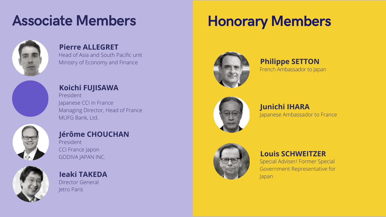## Honorary Members









#### French Ambassador to Japan **Philippe SETTON**

Special Adviser/ Former Special Government Representative for Japan

#### **Louis SCHWEITZER**



Head of Asia and South Pacific unit Ministry of Economy and Finance



#### **Pierre ALLEGRET**

President Japanese CCI in France Managing Director, Head of France MUFG Bank, Ltd.



#### **Koichi FUJISAWA**

President CCI France Japon GODIVA JAPAN INC.



#### **Jérôme CHOUCHAN**

Director General Jetro Paris

#### **Ieaki TAKEDA**

# Associate Members